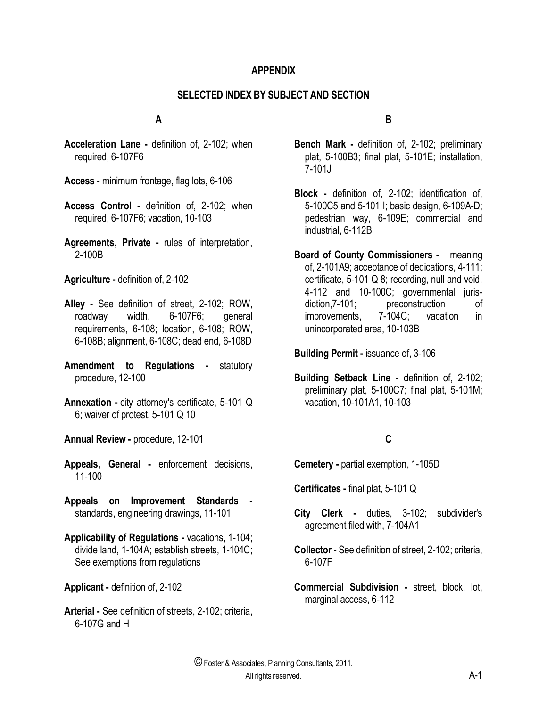#### **APPENDIX**

#### **SELECTED INDEX BY SUBJECT AND SECTION**

#### **A**

- **Acceleration Lane -** definition of, 2-102; when required, 6-107F6
- **Access -** minimum frontage, flag lots, 6-106
- **Access Control -** definition of, 2-102; when required, 6-107F6; vacation, 10-103
- **Agreements, Private -** rules of interpretation, 2-100B

**Agriculture -** definition of, 2-102

- **Alley -** See definition of street, 2-102; ROW, roadway width, 6-107F6; general requirements, 6-108; location, 6-108; ROW, 6-108B; alignment, 6-108C; dead end, 6-108D
- **Amendment to Regulations -** statutory procedure, 12-100
- **Annexation -** city attorney's certificate, 5-101 Q 6; waiver of protest, 5-101 Q 10
- **Annual Review -** procedure, 12-101
- **Appeals, General -** enforcement decisions, 11-100
- **Appeals on Improvement Standards**  standards, engineering drawings, 11-101
- **Applicability of Regulations -** vacations, 1-104; divide land, 1-104A; establish streets, 1-104C; See exemptions from regulations
- **Applicant -** definition of, 2-102
- **Arterial -** See definition of streets, 2-102; criteria, 6-107G and H

#### **B**

- **Bench Mark -** definition of, 2-102; preliminary plat, 5-100B3; final plat, 5-101E; installation, 7-101J
- **Block -** definition of, 2-102; identification of, 5-100C5 and 5-101 I; basic design, 6-109A-D; pedestrian way, 6-109E; commercial and industrial, 6-112B
- **Board of County Commissioners** meaning of, 2-101A9; acceptance of dedications, 4-111; certificate, 5-101 Q 8; recording, null and void, 4-112 and 10-100C; governmental jurisdiction,7-101; preconstruction of improvements, 7-104C; vacation in unincorporated area, 10-103B

**Building Permit -** issuance of, 3-106

**Building Setback Line -** definition of, 2-102; preliminary plat, 5-100C7; final plat, 5-101M; vacation, 10-101A1, 10-103

### **C**

**Cemetery -** partial exemption, 1-105D

**Certificates -** final plat, 5-101 Q

- **City Clerk -** duties, 3-102; subdivider's agreement filed with, 7-104A1
- **Collector -** See definition of street, 2-102; criteria, 6-107F
- **Commercial Subdivision -** street, block, lot, marginal access, 6-112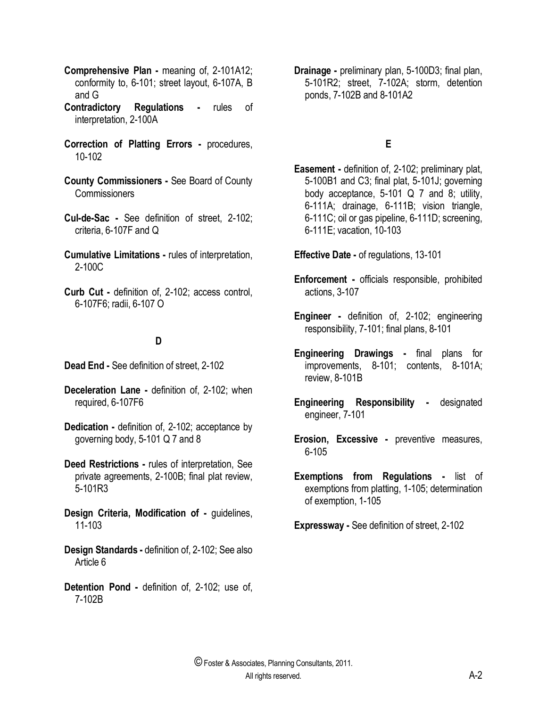- **Comprehensive Plan -** meaning of, 2-101A12; conformity to, 6-101; street layout, 6-107A, B and G
- **Contradictory Regulations -** rules of interpretation, 2-100A
- **Correction of Platting Errors -** procedures, 10-102
- **County Commissioners -** See Board of County **Commissioners**
- **Cul-de-Sac -** See definition of street, 2-102; criteria, 6-107F and Q
- **Cumulative Limitations -** rules of interpretation, 2-100C
- **Curb Cut -** definition of, 2-102; access control, 6-107F6; radii, 6-107 O

### **D**

- **Dead End -** See definition of street, 2-102
- **Deceleration Lane -** definition of, 2-102; when required, 6-107F6
- **Dedication -** definition of, 2-102; acceptance by governing body, 5-101 Q 7 and 8
- **Deed Restrictions -** rules of interpretation, See private agreements, 2-100B; final plat review, 5-101R3
- **Design Criteria, Modification of -** guidelines, 11-103
- **Design Standards -** definition of, 2-102; See also Article 6
- **Detention Pond -** definition of, 2-102; use of, 7-102B

**Drainage -** preliminary plan, 5-100D3; final plan, 5-101R2; street, 7-102A; storm, detention ponds, 7-102B and 8-101A2

## **E**

**Easement -** definition of, 2-102; preliminary plat, 5-100B1 and C3; final plat, 5-101J; governing body acceptance, 5-101 Q 7 and 8; utility, 6-111A; drainage, 6-111B; vision triangle, 6-111C; oil or gas pipeline, 6-111D; screening, 6-111E; vacation, 10-103

**Effective Date -** of regulations, 13-101

- **Enforcement -** officials responsible, prohibited actions, 3-107
- **Engineer -** definition of, 2-102; engineering responsibility, 7-101; final plans, 8-101
- **Engineering Drawings -** final plans for improvements, 8-101; contents, 8-101A; review, 8-101B
- **Engineering Responsibility -** designated engineer, 7-101
- **Erosion, Excessive -** preventive measures, 6-105
- **Exemptions from Regulations -** list of exemptions from platting, 1-105; determination of exemption, 1-105

**Expressway -** See definition of street, 2-102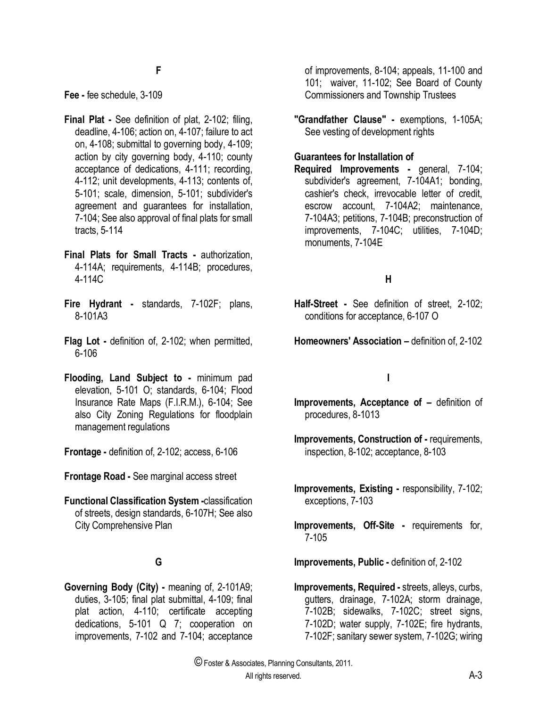**Fee -** fee schedule, 3-109

- **Final Plat -** See definition of plat, 2-102; filing, deadline, 4-106; action on, 4-107; failure to act on, 4-108; submittal to governing body, 4-109; action by city governing body, 4-110; county acceptance of dedications, 4-111; recording, 4-112; unit developments, 4-113; contents of, 5-101; scale, dimension, 5-101; subdivider's agreement and guarantees for installation, 7-104; See also approval of final plats for small tracts, 5-114
- **Final Plats for Small Tracts -** authorization, 4-114A; requirements, 4-114B; procedures, 4-114C
- **Fire Hydrant -** standards, 7-102F; plans, 8-101A3
- **Flag Lot -** definition of, 2-102; when permitted, 6-106
- **Flooding, Land Subject to -** minimum pad elevation, 5-101 O; standards, 6-104; Flood Insurance Rate Maps (F.I.R.M.), 6-104; See also City Zoning Regulations for floodplain management regulations
- **Frontage -** definition of, 2-102; access, 6-106
- **Frontage Road -** See marginal access street
- **Functional Classification System -**classification of streets, design standards, 6-107H; See also City Comprehensive Plan

# **G**

**Governing Body (City) -** meaning of, 2-101A9; duties, 3-105; final plat submittal, 4-109; final plat action, 4-110; certificate accepting dedications, 5-101 Q 7; cooperation on improvements, 7-102 and 7-104; acceptance

of improvements, 8-104; appeals, 11-100 and 101; waiver, 11-102; See Board of County Commissioners and Township Trustees

**"Grandfather Clause" -** exemptions, 1-105A; See vesting of development rights

### **Guarantees for Installation of**

**Required Improvements -** general, 7-104; subdivider's agreement, 7-104A1; bonding, cashier's check, irrevocable letter of credit, escrow account, 7-104A2; maintenance, 7-104A3; petitions, 7-104B; preconstruction of improvements, 7-104C; utilities, 7-104D; monuments, 7-104E

## **H**

- **Half-Street -** See definition of street, 2-102; conditions for acceptance, 6-107 O
- **Homeowners' Association –** definition of, 2-102

### **I**

- **Improvements, Acceptance of –** definition of procedures, 8-1013
- **Improvements, Construction of -** requirements, inspection, 8-102; acceptance, 8-103
- **Improvements, Existing -** responsibility, 7-102; exceptions, 7-103
- **Improvements, Off-Site -** requirements for, 7-105
- **Improvements, Public -** definition of, 2-102
- **Improvements, Required -** streets, alleys, curbs, gutters, drainage, 7-102A; storm drainage, 7-102B; sidewalks, 7-102C; street signs, 7-102D; water supply, 7-102E; fire hydrants, 7-102F; sanitary sewer system, 7-102G; wiring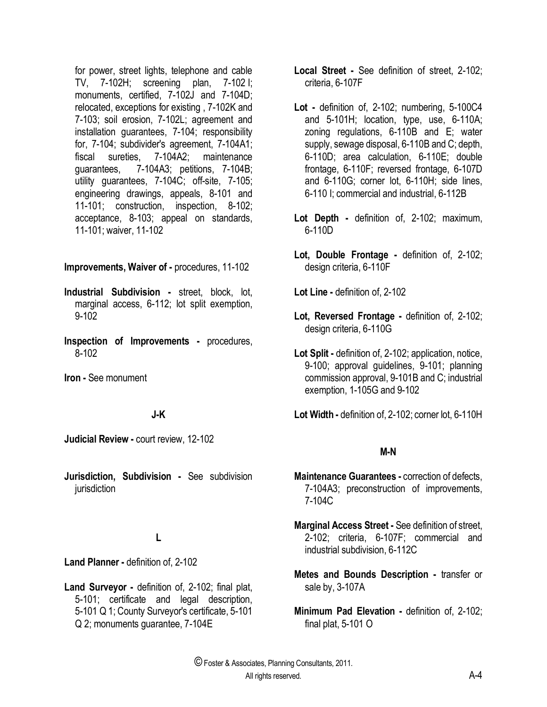for power, street lights, telephone and cable TV, 7-102H; screening plan, 7-102 I; monuments, certified, 7-102J and 7-104D; relocated, exceptions for existing , 7-102K and 7-103; soil erosion, 7-102L; agreement and installation guarantees, 7-104; responsibility for, 7-104; subdivider's agreement, 7-104A1; fiscal sureties, 7-104A2; maintenance guarantees, 7-104A3; petitions, 7-104B; utility guarantees, 7-104C; off-site, 7-105; engineering drawings, appeals, 8-101 and 11-101; construction, inspection, 8-102; acceptance, 8-103; appeal on standards, 11-101; waiver, 11-102

#### **Improvements, Waiver of -** procedures, 11-102

- **Industrial Subdivision -** street, block, lot, marginal access, 6-112; lot split exemption, 9-102
- **Inspection of Improvements -** procedures, 8-102

**Iron -** See monument

### **J-K**

**Judicial Review -** court review, 12-102

**Jurisdiction, Subdivision -** See subdivision jurisdiction

### **L**

**Land Planner -** definition of, 2-102

**Land Surveyor -** definition of, 2-102; final plat, 5-101; certificate and legal description, 5-101 Q 1; County Surveyor's certificate, 5-101 Q 2; monuments guarantee, 7-104E

- **Local Street -** See definition of street, 2-102; criteria, 6-107F
- **Lot -** definition of, 2-102; numbering, 5-100C4 and 5-101H; location, type, use, 6-110A; zoning regulations, 6-110B and E; water supply, sewage disposal, 6-110B and C; depth, 6-110D; area calculation, 6-110E; double frontage, 6-110F; reversed frontage, 6-107D and 6-110G; corner lot, 6-110H; side lines, 6-110 I; commercial and industrial, 6-112B
- **Lot Depth -** definition of, 2-102; maximum, 6-110D
- **Lot, Double Frontage -** definition of, 2-102; design criteria, 6-110F

**Lot Line -** definition of, 2-102

- **Lot, Reversed Frontage -** definition of, 2-102; design criteria, 6-110G
- **Lot Split -** definition of, 2-102; application, notice, 9-100; approval guidelines, 9-101; planning commission approval, 9-101B and C; industrial exemption, 1-105G and 9-102
- **Lot Width -** definition of, 2-102; corner lot, 6-110H

### **M-N**

- **Maintenance Guarantees -** correction of defects, 7-104A3; preconstruction of improvements, 7-104C
- **Marginal Access Street -** See definition of street, 2-102; criteria, 6-107F; commercial and industrial subdivision, 6-112C
- **Metes and Bounds Description -** transfer or sale by, 3-107A
- **Minimum Pad Elevation -** definition of, 2-102; final plat, 5-101 O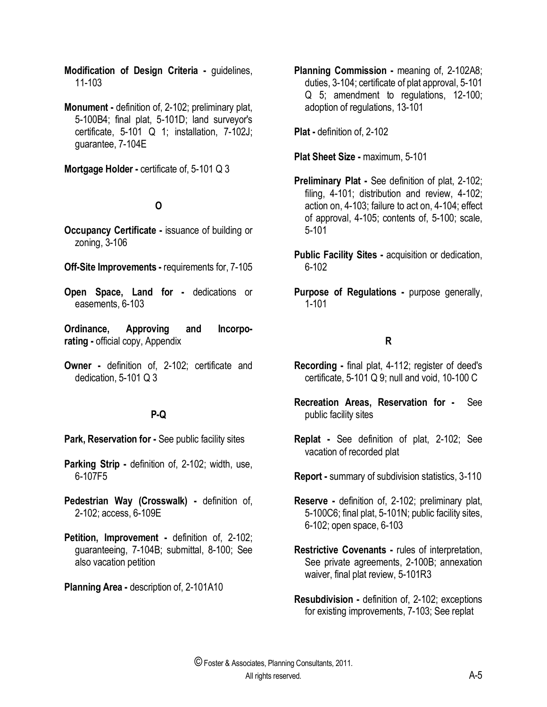**Modification of Design Criteria -** guidelines, 11-103

**Monument -** definition of, 2-102; preliminary plat, 5-100B4; final plat, 5-101D; land surveyor's certificate, 5-101 Q 1; installation, 7-102J; guarantee, 7-104E

**Mortgage Holder -** certificate of, 5-101 Q 3

# **O**

- **Occupancy Certificate -** issuance of building or zoning, 3-106
- **Off-Site Improvements -** requirements for, 7-105
- **Open Space, Land for -** dedications or easements, 6-103
- **Ordinance, Approving and Incorporating -** official copy, Appendix
- **Owner -** definition of, 2-102; certificate and dedication, 5-101 Q 3

# **P-Q**

- **Park, Reservation for -** See public facility sites
- **Parking Strip -** definition of, 2-102; width, use, 6-107F5
- **Pedestrian Way (Crosswalk) -** definition of, 2-102; access, 6-109E
- **Petition, Improvement -** definition of, 2-102; guaranteeing, 7-104B; submittal, 8-100; See also vacation petition

**Planning Area -** description of, 2-101A10

**Planning Commission -** meaning of, 2-102A8; duties, 3-104; certificate of plat approval, 5-101 Q 5; amendment to regulations, 12-100; adoption of regulations, 13-101

**Plat -** definition of, 2-102

**Plat Sheet Size -** maximum, 5-101

- **Preliminary Plat -** See definition of plat, 2-102; filing, 4-101; distribution and review, 4-102; action on, 4-103; failure to act on, 4-104; effect of approval, 4-105; contents of, 5-100; scale, 5-101
- **Public Facility Sites -** acquisition or dedication, 6-102
- **Purpose of Regulations -** purpose generally, 1-101

# **R**

- **Recording -** final plat, 4-112; register of deed's certificate, 5-101 Q 9; null and void, 10-100 C
- **Recreation Areas, Reservation for -** See public facility sites
- **Replat -** See definition of plat, 2-102; See vacation of recorded plat
- **Report -** summary of subdivision statistics, 3-110
- **Reserve -** definition of, 2-102; preliminary plat, 5-100C6; final plat, 5-101N; public facility sites, 6-102; open space, 6-103
- **Restrictive Covenants -** rules of interpretation, See private agreements, 2-100B; annexation waiver, final plat review, 5-101R3
- **Resubdivision -** definition of, 2-102; exceptions for existing improvements, 7-103; See replat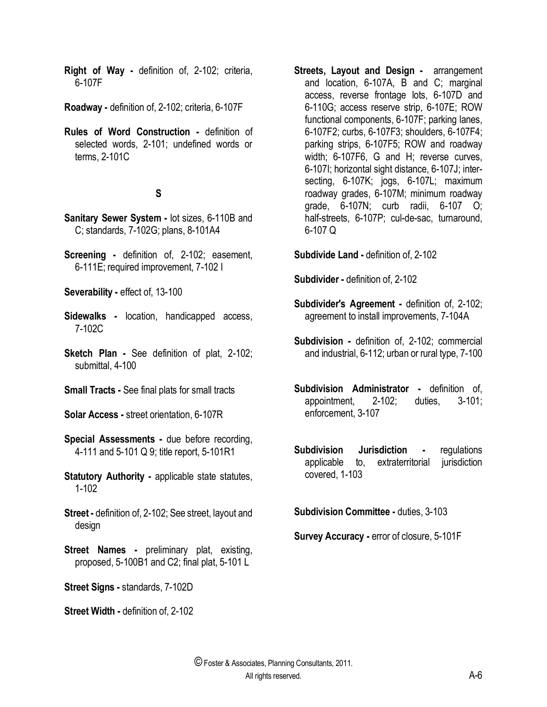**Right of Way -** definition of, 2-102; criteria, 6-107F

**Roadway -** definition of, 2-102; criteria, 6-107F

**Rules of Word Construction -** definition of selected words, 2-101; undefined words or terms, 2-101C

## **S**

- **Sanitary Sewer System -** lot sizes, 6-110B and C; standards, 7-102G; plans, 8-101A4
- **Screening -** definition of, 2-102; easement, 6-111E; required improvement, 7-102 I

**Severability -** effect of, 13-100

- **Sidewalks -** location, handicapped access, 7-102C
- **Sketch Plan -** See definition of plat, 2-102; submittal, 4-100
- **Small Tracts -** See final plats for small tracts
- **Solar Access -** street orientation, 6-107R
- **Special Assessments -** due before recording, 4-111 and 5-101 Q 9; title report, 5-101R1
- **Statutory Authority applicable state statutes,** 1-102
- **Street -** definition of, 2-102; See street, layout and design
- **Street Names -** preliminary plat, existing, proposed, 5-100B1 and C2; final plat, 5-101 L

**Street Signs -** standards, 7-102D

**Street Width -** definition of, 2-102

**Streets, Layout and Design -** arrangement and location, 6-107A, B and C; marginal access, reverse frontage lots, 6-107D and 6-110G; access reserve strip, 6-107E; ROW functional components, 6-107F; parking lanes, 6-107F2; curbs, 6-107F3; shoulders, 6-107F4; parking strips, 6-107F5; ROW and roadway width; 6-107F6, G and H; reverse curves, 6-107I; horizontal sight distance, 6-107J; intersecting, 6-107K; jogs, 6-107L; maximum roadway grades, 6-107M; minimum roadway grade, 6-107N; curb radii, 6-107 O; half-streets, 6-107P; cul-de-sac, turnaround, 6-107 Q

**Subdivide Land -** definition of, 2-102

**Subdivider -** definition of, 2-102

- **Subdivider's Agreement -** definition of, 2-102; agreement to install improvements, 7-104A
- **Subdivision -** definition of, 2-102; commercial and industrial, 6-112; urban or rural type, 7-100
- **Subdivision Administrator -** definition of, appointment, 2-102; duties, 3-101; enforcement, 3-107
- **Subdivision Jurisdiction -** regulations applicable to, extraterritorial jurisdiction covered, 1-103

**Subdivision Committee -** duties, 3-103

**Survey Accuracy -** error of closure, 5-101F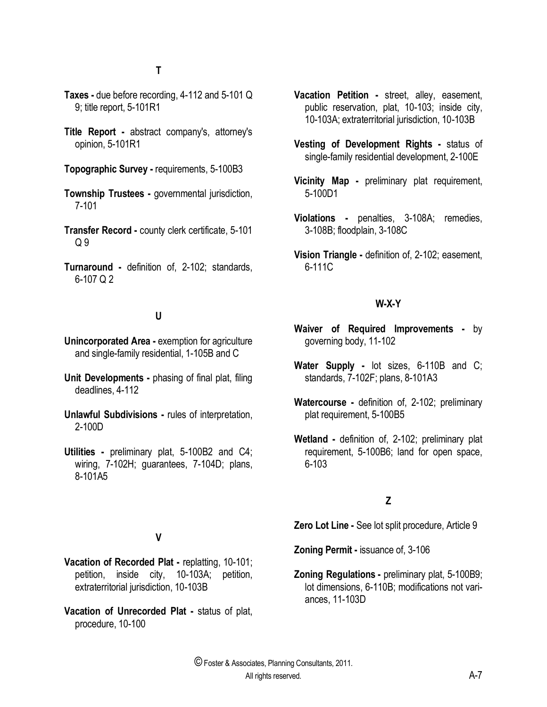- **Taxes -** due before recording, 4-112 and 5-101 Q 9; title report, 5-101R1
- **Title Report -** abstract company's, attorney's opinion, 5-101R1

**Topographic Survey -** requirements, 5-100B3

- **Township Trustees -** governmental jurisdiction, 7-101
- **Transfer Record -** county clerk certificate, 5-101  $Q<sub>9</sub>$
- **Turnaround -** definition of, 2-102; standards, 6-107 Q 2

#### **U**

- **Unincorporated Area -** exemption for agriculture and single-family residential, 1-105B and C
- **Unit Developments -** phasing of final plat, filing deadlines, 4-112
- **Unlawful Subdivisions -** rules of interpretation, 2-100D
- **Utilities -** preliminary plat, 5-100B2 and C4; wiring, 7-102H; guarantees, 7-104D; plans, 8-101A5
- **Vacation Petition -** street, alley, easement, public reservation, plat, 10-103; inside city, 10-103A; extraterritorial jurisdiction, 10-103B
- **Vesting of Development Rights -** status of single-family residential development, 2-100E
- **Vicinity Map -** preliminary plat requirement, 5-100D1
- **Violations -** penalties, 3-108A; remedies, 3-108B; floodplain, 3-108C
- **Vision Triangle -** definition of, 2-102; easement, 6-111C

#### **W-X-Y**

- **Waiver of Required Improvements -** by governing body, 11-102
- **Water Supply -** lot sizes, 6-110B and C; standards, 7-102F; plans, 8-101A3
- **Watercourse -** definition of, 2-102; preliminary plat requirement, 5-100B5
- **Wetland -** definition of, 2-102; preliminary plat requirement, 5-100B6; land for open space, 6-103

# **Z**

**Zero Lot Line -** See lot split procedure, Article 9

**Zoning Permit -** issuance of, 3-106

**Zoning Regulations -** preliminary plat, 5-100B9; lot dimensions, 6-110B; modifications not variances, 11-103D

# **V**

- **Vacation of Recorded Plat -** replatting, 10-101; petition, inside city, 10-103A; petition, extraterritorial jurisdiction, 10-103B
- **Vacation of Unrecorded Plat -** status of plat, procedure, 10-100